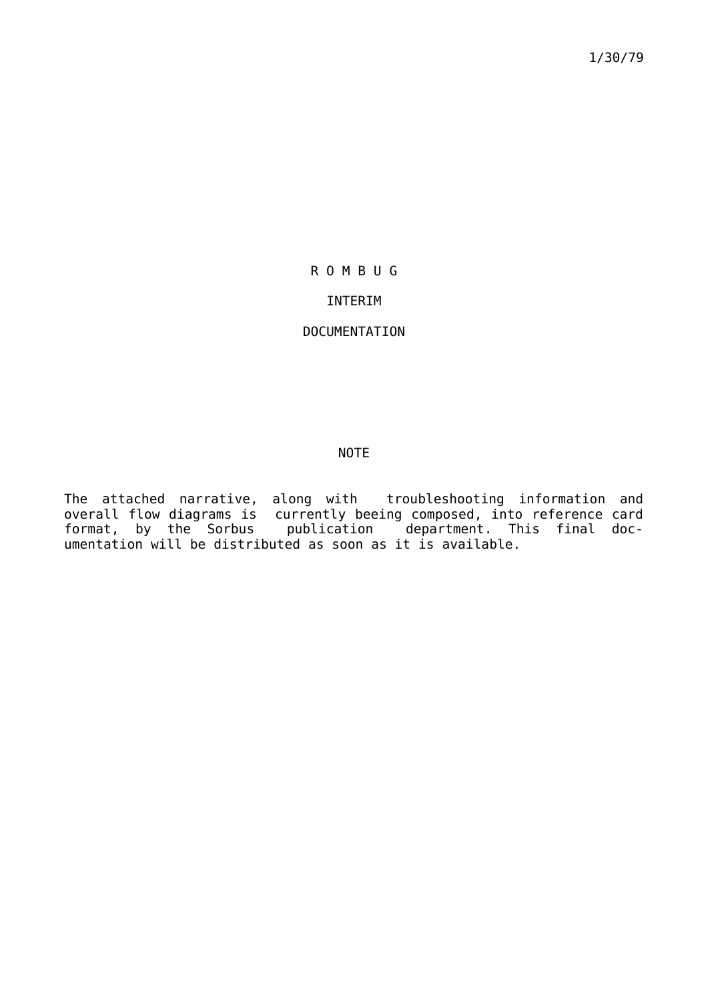1/30/79

# R O M B U G

### INTERIM

## DOCUMENTATION

### NOTE

The attached narrative, along with troubleshooting information and overall flow diagrams is currently beeing composed, into reference card format, by the Sorbus publication department. This final documentation will be distributed as soon as it is available.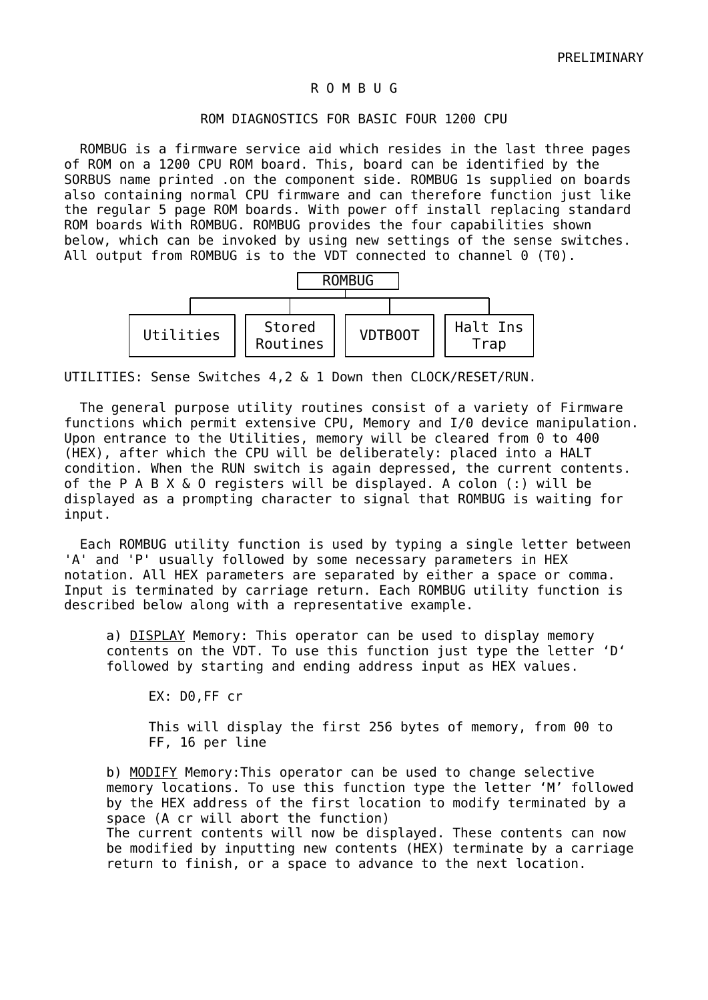### R O M B U G

### ROM DIAGNOSTICS FOR BASIC FOUR 1200 CPU

 ROMBUG is a firmware service aid which resides in the last three pages of ROM on a 1200 CPU ROM board. This, board can be identified by the SORBUS name printed .on the component side. ROMBUG 1s supplied on boards also containing normal CPU firmware and can therefore function just like the regular 5 page ROM boards. With power off install replacing standard ROM boards With ROMBUG. ROMBUG provides the four capabilities shown below, which can be invoked by using new settings of the sense switches. All output from ROMBUG is to the VDT connected to channel 0 (T0).



UTILITIES: Sense Switches 4,2 & 1 Down then CLOCK/RESET/RUN.

 The general purpose utility routines consist of a variety of Firmware functions which permit extensive CPU, Memory and I/0 device manipulation. Upon entrance to the Utilities, memory will be cleared from 0 to 400 (HEX), after which the CPU will be deliberately: placed into a HALT condition. When the RUN switch is again depressed, the current contents. of the P A B X & O registers will be displayed. A colon (:) will be displayed as a prompting character to signal that ROMBUG is waiting for input.

 Each ROMBUG utility function is used by typing a single letter between 'A' and 'P' usually followed by some necessary parameters in HEX notation. All HEX parameters are separated by either a space or comma. Input is terminated by carriage return. Each ROMBUG utility function is described below along with a representative example.

a) DISPLAY Memory: This operator can be used to display memory contents on the VDT. To use this function just type the letter 'D' followed by starting and ending address input as HEX values.

EX: D0,FF cr

This will display the first 256 bytes of memory, from 00 to FF, 16 per line

b) MODIFY Memory: This operator can be used to change selective memory locations. To use this function type the letter 'M' followed by the HEX address of the first location to modify terminated by a space (A cr will abort the function) The current contents will now be displayed. These contents can now be modified by inputting new contents (HEX) terminate by a carriage return to finish, or a space to advance to the next location.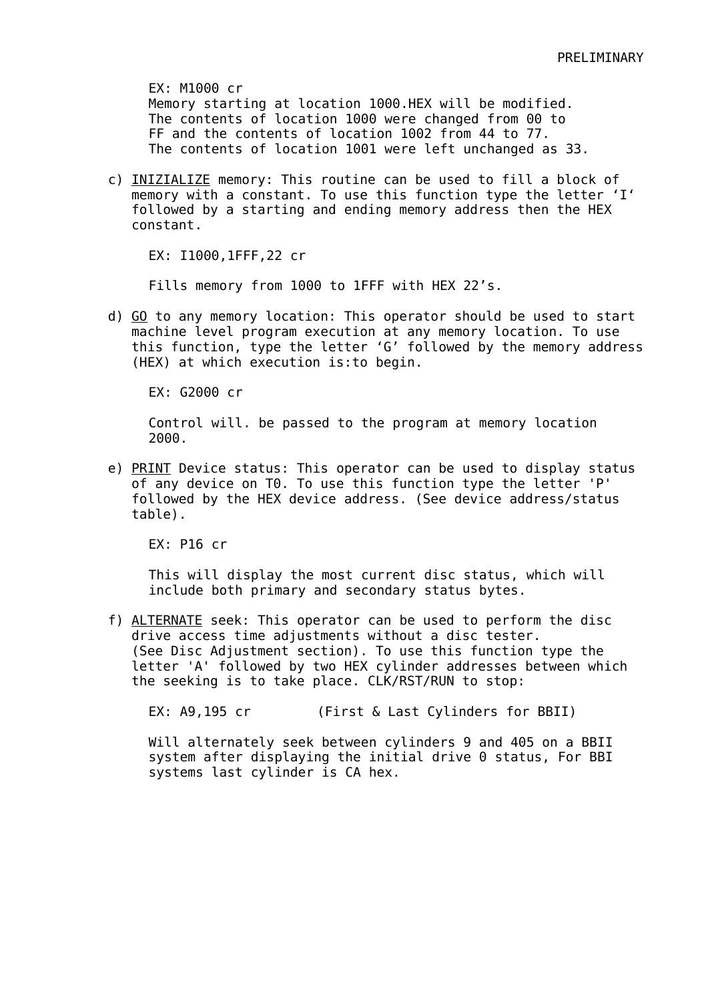EX: M1000 cr Memory starting at location 1000.HEX will be modified. The contents of location 1000 were changed from 00 to FF and the contents of location 1002 from 44 to 77. The contents of location 1001 were left unchanged as 33.

c) INIZIALIZE memory: This routine can be used to fill a block of memory with a constant. To use this function type the letter 'I' followed by a starting and ending memory address then the HEX constant.

EX: I1000,1FFF,22 cr

Fills memory from 1000 to 1FFF with HEX 22's.

d) GO to any memory location: This operator should be used to start machine level program execution at any memory location. To use this function, type the letter 'G' followed by the memory address (HEX) at which execution is:to begin.

EX: G2000 cr

Control will. be passed to the program at memory location 2000.

e) PRINT Device status: This operator can be used to display status of any device on T0. To use this function type the letter 'P' followed by the HEX device address. (See device address/status table).

EX: P16 cr

This will display the most current disc status, which will include both primary and secondary status bytes.

f) ALTERNATE seek: This operator can be used to perform the disc drive access time adjustments without a disc tester. (See Disc Adjustment section). To use this function type the letter 'A' followed by two HEX cylinder addresses between which the seeking is to take place. CLK/RST/RUN to stop:

EX: A9,195 cr (First & Last Cylinders for BBII)

Will alternately seek between cylinders 9 and 405 on a BBII system after displaying the initial drive 0 status, For BBI systems last cylinder is CA hex.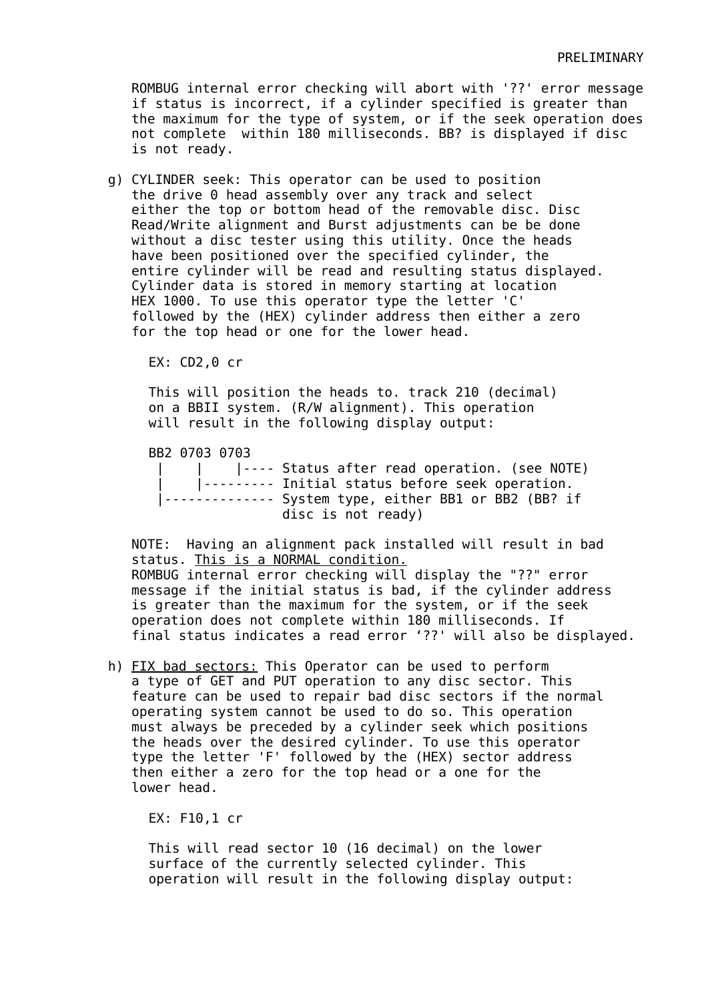ROMBUG internal error checking will abort with '??' error message if status is incorrect, if a cylinder specified is greater than the maximum for the type of system, or if the seek operation does not complete within 180 milliseconds. BB? is displayed if disc is not ready.

g) CYLINDER seek: This operator can be used to position the drive 0 head assembly over any track and select either the top or bottom head of the removable disc. Disc Read/Write alignment and Burst adjustments can be be done without a disc tester using this utility. Once the heads have been positioned over the specified cylinder, the entire cylinder will be read and resulting status displayed. Cylinder data is stored in memory starting at location HEX 1000. To use this operator type the letter 'C' followed by the (HEX) cylinder address then either a zero for the top head or one for the lower head.

EX: CD2,0 cr

This will position the heads to. track 210 (decimal) on a BBII system. (R/W alignment). This operation will result in the following display output:

BB2 0703 0703

 | | |---- Status after read operation. (see NOTE) | |--------- Initial status before seek operation. |-------------- System type, either BB1 or BB2 (BB? if disc is not ready)

NOTE: Having an alignment pack installed will result in bad status. This is a NORMAL condition. ROMBUG internal error checking will display the "??" error message if the initial status is bad, if the cylinder address is greater than the maximum for the system, or if the seek operation does not complete within 180 milliseconds. If final status indicates a read error '??' will also be displayed.

h) FIX bad sectors: This Operator can be used to perform a type of GET and PUT operation to any disc sector. This feature can be used to repair bad disc sectors if the normal operating system cannot be used to do so. This operation must always be preceded by a cylinder seek which positions the heads over the desired cylinder. To use this operator type the letter 'F' followed by the (HEX) sector address then either a zero for the top head or a one for the lower head.

EX: F10,1 cr

This will read sector 10 (16 decimal) on the lower surface of the currently selected cylinder. This operation will result in the following display output: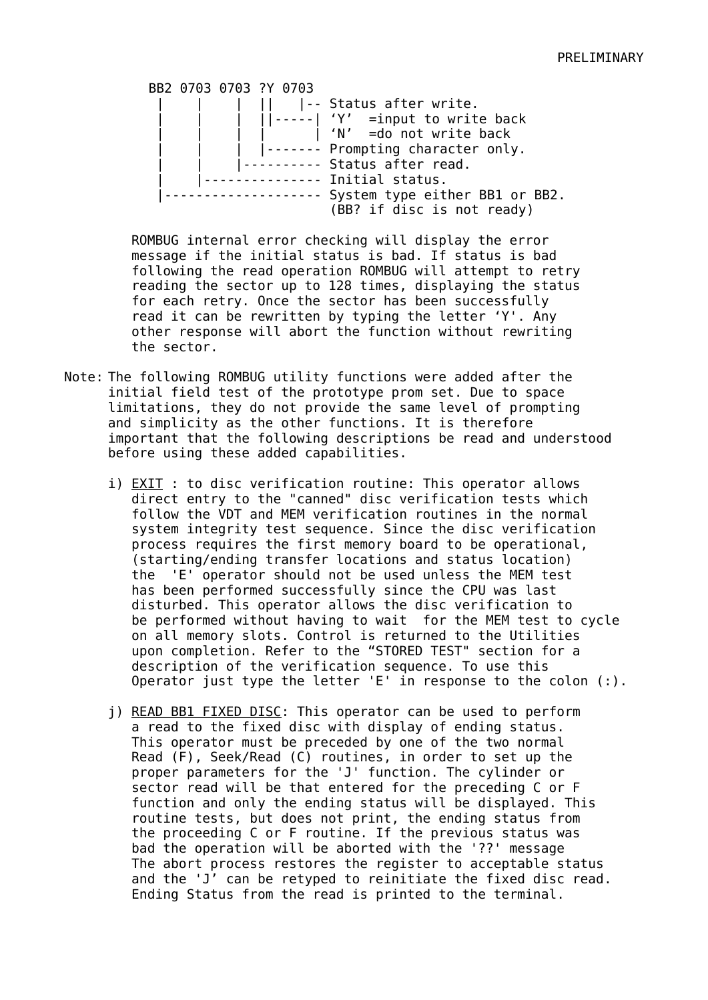BB2 0703 0703 ?Y 0703 | | | || |-- Status after write. | | | ||-----| 'Y' =input to write back | | | | | 'N' =do not write back | - - - - - - Prompting character only. | - - - - - - - - - Status after read. | . . . . . . . . . . . . . Initial status. |-------------------- System type either BB1 or BB2. (BB? if disc is not ready)

ROMBUG internal error checking will display the error message if the initial status is bad. If status is bad following the read operation ROMBUG will attempt to retry reading the sector up to 128 times, displaying the status for each retry. Once the sector has been successfully read it can be rewritten by typing the letter 'Y'. Any other response will abort the function without rewriting the sector.

- Note: The following ROMBUG utility functions were added after the initial field test of the prototype prom set. Due to space limitations, they do not provide the same level of prompting and simplicity as the other functions. It is therefore important that the following descriptions be read and understood before using these added capabilities.
	- i) EXIT : to disc verification routine: This operator allows direct entry to the "canned" disc verification tests which follow the VDT and MEM verification routines in the normal system integrity test sequence. Since the disc verification process requires the first memory board to be operational, (starting/ending transfer locations and status location) the 'E' operator should not be used unless the MEM test has been performed successfully since the CPU was last disturbed. This operator allows the disc verification to be performed without having to wait for the MEM test to cycle on all memory slots. Control is returned to the Utilities upon completion. Refer to the "STORED TEST" section for a description of the verification sequence. To use this Operator just type the letter 'E' in response to the colon (:).
	- j) READ BB1 FIXED DISC: This operator can be used to perform a read to the fixed disc with display of ending status. This operator must be preceded by one of the two normal Read (F), Seek/Read (C) routines, in order to set up the proper parameters for the 'J' function. The cylinder or sector read will be that entered for the preceding C or F function and only the ending status will be displayed. This routine tests, but does not print, the ending status from the proceeding C or F routine. If the previous status was bad the operation will be aborted with the '??' message The abort process restores the register to acceptable status and the 'J' can be retyped to reinitiate the fixed disc read. Ending Status from the read is printed to the terminal.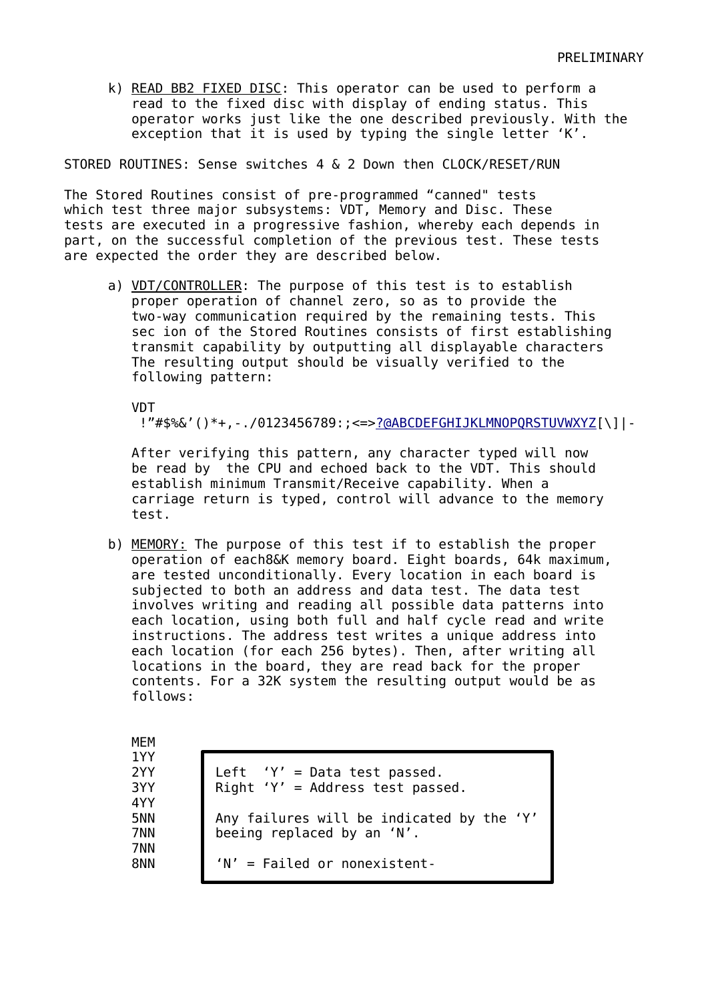k) READ BB2 FIXED DISC: This operator can be used to perform a read to the fixed disc with display of ending status. This operator works just like the one described previously. With the exception that it is used by typing the single letter 'K'.

STORED ROUTINES: Sense switches 4 & 2 Down then CLOCK/RESET/RUN

The Stored Routines consist of pre-programmed "canned" tests which test three major subsystems: VDT, Memory and Disc. These tests are executed in a progressive fashion, whereby each depends in part, on the successful completion of the previous test. These tests are expected the order they are described below.

a) VDT/CONTROLLER: The purpose of this test is to establish proper operation of channel zero, so as to provide the two-way communication required by the remaining tests. This sec ion of the Stored Routines consists of first establishing transmit capability by outputting all displayable characters The resulting output should be visually verified to the following pattern:

**VDT** 

!"#\$%&'()\*+,-./0123456789:;<=>[?@ABCDEFGHIJKLMNOPQRSTUVWXYZ\[](mailto:?@ABCDEFGHIJKLMNOPQRSTUVWXYZ)\]|-

After verifying this pattern, any character typed will now be read by the CPU and echoed back to the VDT. This should establish minimum Transmit/Receive capability. When a carriage return is typed, control will advance to the memory test.

b) MEMORY: The purpose of this test if to establish the proper operation of each8&K memory board. Eight boards, 64k maximum, are tested unconditionally. Every location in each board is subjected to both an address and data test. The data test involves writing and reading all possible data patterns into each location, using both full and half cycle read and write instructions. The address test writes a unique address into each location (for each 256 bytes). Then, after writing all locations in the board, they are read back for the proper contents. For a 32K system the resulting output would be as follows:

| MEM        |                                                                  |
|------------|------------------------------------------------------------------|
| 1YY<br>2YY |                                                                  |
| 3YY        | Left 'Y' = Data test passed.<br>Right 'Y' = Address test passed. |
| 4YY<br>5NN | Any failures will be indicated by the 'Y'                        |
| 7NN        | beeing replaced by an 'N'.                                       |
| 7NN<br>8NN | $'N'$ = Failed or nonexistent-                                   |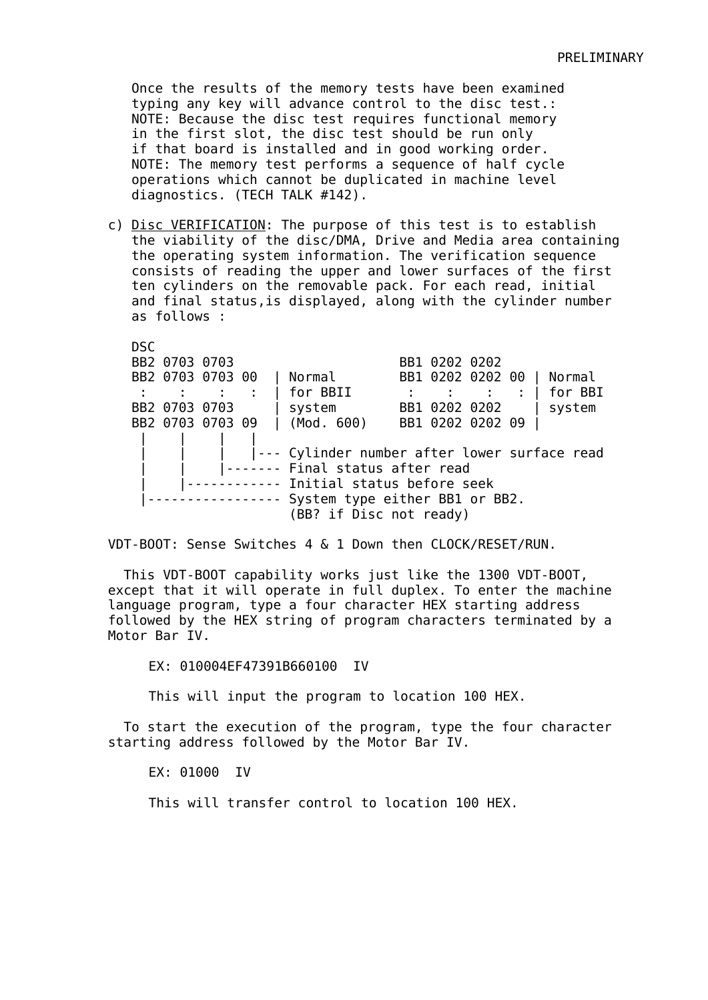Once the results of the memory tests have been examined typing any key will advance control to the disc test.: NOTE: Because the disc test requires functional memory in the first slot, the disc test should be run only if that board is installed and in good working order. NOTE: The memory test performs a sequence of half cycle operations which cannot be duplicated in machine level diagnostics. (TECH TALK #142).

c) Disc VERIFICATION: The purpose of this test is to establish the viability of the disc/DMA, Drive and Media area containing the operating system information. The verification sequence consists of reading the upper and lower surfaces of the first ten cylinders on the removable pack. For each read, initial and final status,is displayed, along with the cylinder number as follows :

DSC BB2 0703 0703 BB1 0202 0202 BB2 0703 0703 00 | Normal BB1 0202 0202 00 | Normal : : : : | for BBII : : : : | for BBI BB2 0703 0703 | system BB1 0202 0202 | system BB2 0703 0703 09 | (Mod. 600) BB1 0202 0202 09 | | | | | |--- Cylinder number after lower surface read ------- Final status after read | |------------ Initial status before seek |----------------- System type either BB1 or BB2. (BB? if Disc not ready)

VDT-BOOT: Sense Switches 4 & 1 Down then CLOCK/RESET/RUN.

 This VDT-BOOT capability works just like the 1300 VDT-BOOT, except that it will operate in full duplex. To enter the machine language program, type a four character HEX starting address followed by the HEX string of program characters terminated by a Motor Bar IV.

EX: 010004EF47391B660100 IV

This will input the program to location 100 HEX.

 To start the execution of the program, type the four character starting address followed by the Motor Bar IV.

EX: 01000 IV

This will transfer control to location 100 HEX.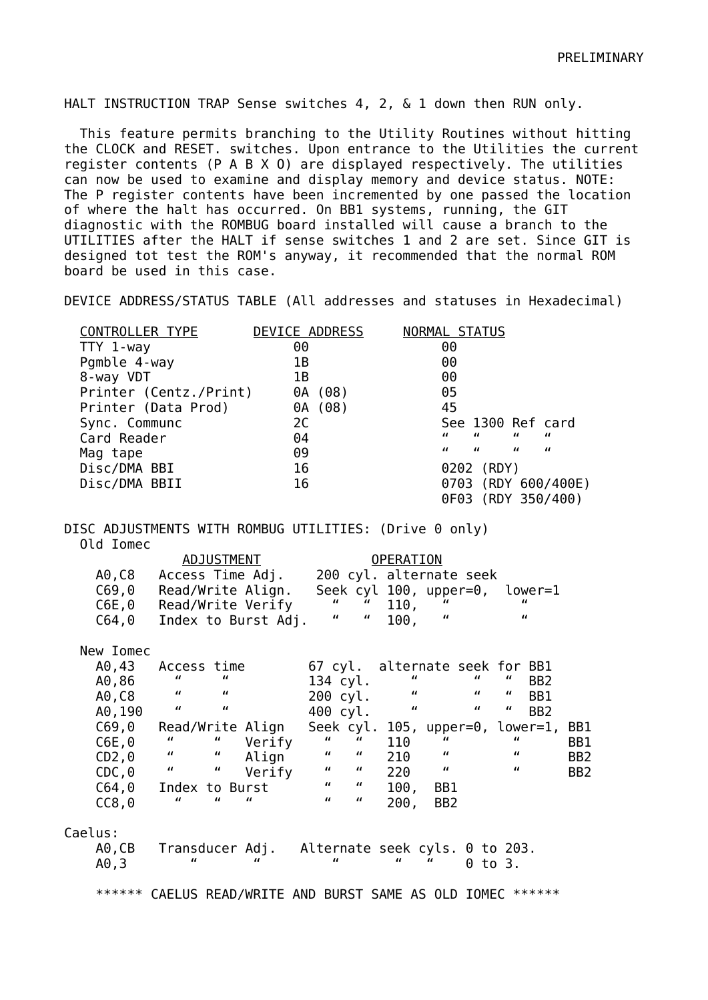HALT INSTRUCTION TRAP Sense switches 4, 2, & 1 down then RUN only.

 This feature permits branching to the Utility Routines without hitting the CLOCK and RESET. switches. Upon entrance to the Utilities the current register contents (P A B X O) are displayed respectively. The utilities can now be used to examine and display memory and device status. NOTE: The P register contents have been incremented by one passed the location of where the halt has occurred. On BB1 systems, running, the GIT diagnostic with the ROMBUG board installed will cause a branch to the UTILITIES after the HALT if sense switches 1 and 2 are set. Since GIT is designed tot test the ROM's anyway, it recommended that the normal ROM board be used in this case.

DEVICE ADDRESS/STATUS TABLE (All addresses and statuses in Hexadecimal)

| <b>CONTROLLER TYPE</b> | DEVICE ADDRESS |         | NORMAL STATUS |                |                   |                |                     |
|------------------------|----------------|---------|---------------|----------------|-------------------|----------------|---------------------|
| TTY 1-way              | 00             |         |               | 00             |                   |                |                     |
| Pgmble 4-way           | 1Β             |         |               | 00             |                   |                |                     |
| 8-way VDT              | 1B             |         |               | 00             |                   |                |                     |
| Printer (Centz./Print) |                | 0A (08) |               | 05             |                   |                |                     |
| Printer (Data Prod)    |                | 0A (08) |               | 45             |                   |                |                     |
| Sync. Communc          | 2C             |         |               |                | See 1300 Ref card |                |                     |
| Card Reader            | 04             |         |               | $\overline{u}$ | $\mathbf{u}$      | $\mathbf{u}$   | $\overline{u}$      |
| Mag tape               | 09             |         |               | $\overline{u}$ | $\mathbf{u}$      | $\overline{u}$ | $\overline{u}$      |
| Disc/DMA BBI           | 16             |         |               |                | 0202 (RDY)        |                |                     |
| Disc/DMA BBII          | 16             |         |               |                |                   |                | 0703 (RDY 600/400E) |
|                        |                |         |               |                |                   |                | 0F03 (RDY 350/400)  |

DISC ADJUSTMENTS WITH ROMBUG UTILITIES: (Drive 0 only) Old Iomec

|           | ADJUSTMENT                                                       |                                                   | <b>OPERATION</b>               |                                                                              |                 |
|-----------|------------------------------------------------------------------|---------------------------------------------------|--------------------------------|------------------------------------------------------------------------------|-----------------|
|           | A0,C8 Access Time Adj.                                           |                                                   | 200 cyl. alternate seek        |                                                                              |                 |
| C69,0     | Read/Write Align.                                                |                                                   | Seek cyl 100, upper=0, lower=1 |                                                                              |                 |
|           | C6E,0 Read/Write Verify                                          | $\mathbf{u}$<br>$\boldsymbol{u}$                  | 110,                           | "                                                                            |                 |
| C64,0     | Index to Burst Adj.                                              | $\boldsymbol{u}$<br>$\boldsymbol{u}$              | $\overline{u}$<br>100,         | $\overline{u}$                                                               |                 |
| New Iomec |                                                                  |                                                   |                                |                                                                              |                 |
| A0,43     | Access time                                                      |                                                   | 67 cyl. alternate seek for BB1 |                                                                              |                 |
| A0,86     | $\boldsymbol{u}$<br>$\boldsymbol{u}$ and $\boldsymbol{v}$        | 134 cyl.                                          | $\overline{u}$                 | $\mathbf{u}$<br>"<br>BB <sub>2</sub>                                         |                 |
| A0,C8     | $\sim$ $\sim$ $\sim$ $\sim$<br>$\boldsymbol{u}$                  | 200 cyl.                                          | $\boldsymbol{u}$               | $\boldsymbol{u}$ and $\boldsymbol{v}$<br>$\boldsymbol{u}$<br>BB1             |                 |
| A0, 190   | $\boldsymbol{u}$<br>$\boldsymbol{u}$                             | 400 cyl.                                          | $\boldsymbol{u}$               | $\boldsymbol{u}$ and $\boldsymbol{v}$<br>$\boldsymbol{u}$<br>B <sub>B2</sub> |                 |
| C69, 0    | Read/Write Align                                                 | Seek cyl.                                         |                                | $105$ , upper=0, lower=1,                                                    | BB1             |
| C6E, 0    | $\overline{u}$<br>Verify                                         | $\mathbf{u}$ and $\mathbf{u}$<br>$\boldsymbol{u}$ | 110                            | $\overline{u}$                                                               | BB1             |
| CD2,0     | $\boldsymbol{u}$ and $\boldsymbol{v}$<br>$\overline{u}$<br>Align | $\boldsymbol{u}$<br>$\boldsymbol{u}$              | $\overline{u}$<br>210          | $\overline{u}$                                                               | BB <sub>2</sub> |
| $CDC, 0$  | $\boldsymbol{u}$<br>$\overline{u}$<br>Verify                     | $\boldsymbol{u} = \boldsymbol{u}$                 | $\overline{u}$<br>220          | $\boldsymbol{u}$                                                             | BB <sub>2</sub> |
| C64,0     | Index to Burst                                                   | $\mathbf{u} = \mathbf{u}$                         | 100,<br>BB1                    |                                                                              |                 |
| CC8,0     | $\overline{u}$<br>$\overline{u}$<br>$\overline{u}$               | $\mathbf{u}$<br>$\overline{u}$                    | 200,<br>BB <sub>2</sub>        |                                                                              |                 |
| Caelus:   |                                                                  |                                                   |                                |                                                                              |                 |
| A0,CB     | Transducer Adj. Alternate seek cyls. 0 to 203.                   |                                                   |                                |                                                                              |                 |
| A0,3      | $\overline{u}$<br>$\overline{u}$                                 | "                                                 | $\overline{u}$                 | $0$ to $3.$                                                                  |                 |
|           | ****** CAELUS READ/WRITE AND BURST SAME AS OLD IOMEC             |                                                   |                                | ******                                                                       |                 |